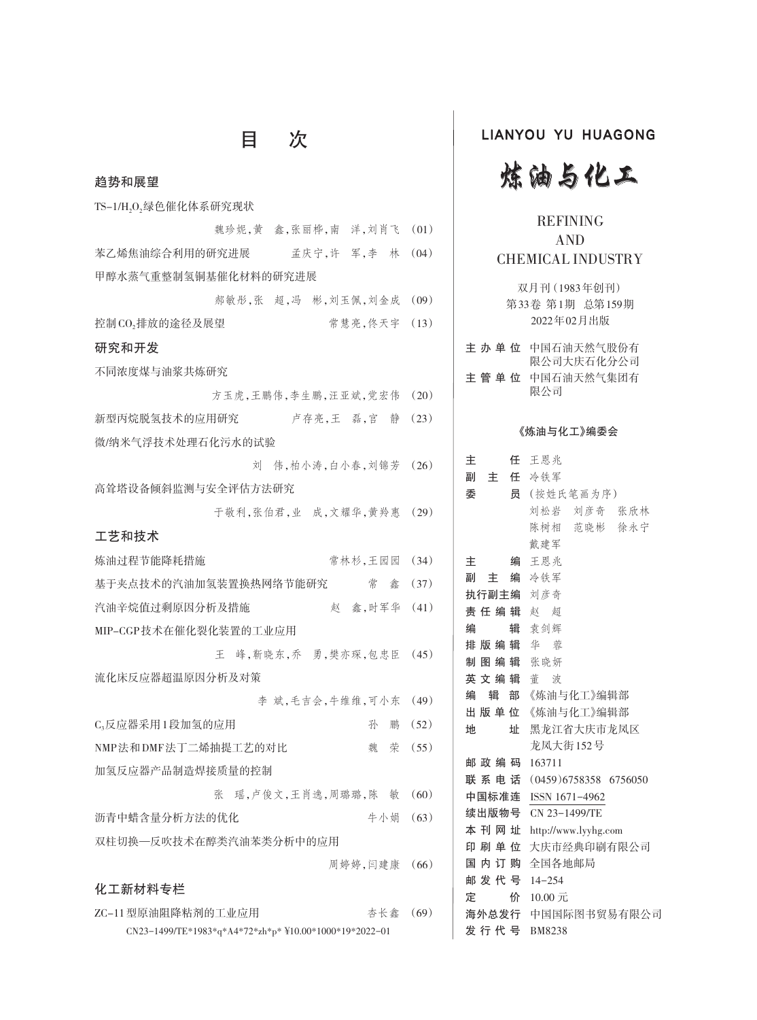| 趋势和展望                                                  |      |
|--------------------------------------------------------|------|
| TS-1/H,O,绿色催化体系研究现状                                    |      |
| 魏珍妮,黄 鑫,张丽桦,南 洋,刘肖飞                                    | (01) |
| 苯乙烯焦油综合利用的研究进展 孟庆宁,许 军,李 林                             | (04) |
| 甲醇水蒸气重整制氢铜基催化材料的研究进展                                   |      |
| 郝敏彤,张 超,冯 彬,刘玉佩,刘金成                                    | (09) |
| 常慧亮,佟天宇<br>控制CO,排放的途径及展望                               | (13) |
| 研究和开发                                                  |      |
| 不同浓度煤与油浆共炼研究                                           |      |
| 方玉虎,王鹏伟,李生鹏,汪亚斌,党宏伟                                    | (20) |
| 新型丙烷脱氢技术的应用研究<br>卢存亮,王 磊,宫 静                           | (23) |
| 微/纳米气浮技术处理石化污水的试验                                      |      |
| 刘 伟,柏小涛,白小春,刘锦芳 (26)                                   |      |
| 高耸塔设备倾斜监测与安全评估方法研究                                     |      |
| 于敬利,张伯君,业 成,文耀华,黄羚惠                                    | (29) |
| 工艺和技术                                                  |      |
| 常林杉,王园园<br>炼油过程节能降耗措施                                  | (34) |
| 基于夹点技术的汽油加氢装置换热网络节能研究<br>こんじょう くうしゃ 常に 念み              | (37) |
| 赵 鑫,时军华<br>汽油辛烷值过剩原因分析及措施                              | (41) |
| MIP-CGP技术在催化裂化装置的工业应用                                  |      |
| 峰,靳晓东,乔 勇,樊亦琛,包忠臣<br>Ŧ.                                | (45) |
| 流化床反应器超温原因分析及对策                                        |      |
| 李 斌,毛吉会,牛维维,可小东                                        | (49) |
| C,反应器采用1段加氢的应用<br>孙<br>鹏                               | (52) |
| NMP法和DMF法丁二烯抽提工艺的对比<br>魏 荣                             | (55) |
| 加氢反应器产品制造焊接质量的控制                                       |      |
| 瑶,卢俊文,王肖逸,周璐璐,陈 敏<br>张                                 | (60) |
| 牛小娟<br>沥青中蜡含量分析方法的优化                                   | (63) |
| 双柱切换—反吹技术在醇类汽油苯类分析中的应用                                 |      |
| 周婷婷,闫建康                                                | (66) |
| 化工新材料专栏                                                |      |
| ZC-11型原油阻降粘剂的工业应用<br>杏长鑫                               | (69) |
| CN23-1499/TE*1983*q*A4*72*zh*p* ¥10.00*1000*19*2022-01 |      |

目 次

## LIANYOU YU HUAGONG



## REFINING AND CHEMICAL INDUSTRY

双月刊(1983年创刊) 第33卷 第1期 总第159期 2022年02月出版

| キ 办 单 位 | 中国石油天然气股份有<br>限公司大庆石化分公司 |
|---------|--------------------------|
| 主管单位    | 中国石油天然气集团有<br>限公司        |
|         | 《炼油与化工》编委会               |

| 主           | 任 王恩兆                   |
|-------------|-------------------------|
| 副 主 任 冷铁军   |                         |
| 委           | 员 (按姓氏笔画为序)             |
|             | 刘松岩 刘彦奇 张欣林             |
|             | 陈树相 范晓彬 徐永宁             |
|             | 戴建军                     |
| 主           | 编 王恩兆                   |
| 副 主 编 冷铁军   |                         |
| 执行副主编 刘彦奇   |                         |
| 责任编辑 赵 超    |                         |
| 编           | 辑 袁剑辉                   |
| 排版编辑 华 蓉    |                         |
| 制图编辑 张晓妍    |                         |
| 英 文 编 辑 董 波 |                         |
| 编           | 辑 部 《炼油与化工》编辑部          |
|             | 出版单位 《炼油与化工》编辑部         |
| 地           | 址 黑龙江省大庆市龙凤区            |
|             | 龙凤大街152号                |
| 邮政编码 163711 |                         |
| 联 系 电 话     | $(0459)6758358$ 6756050 |
|             | 中国标准连 ISSN 1671-4962    |
|             | 续出版物号 CN 23-1499/TE     |
| 本 刊 网 址     | http://www.lyyhg.com    |
| 印 刷 单 位     | 大庆市经典印刷有限公司             |
|             | 国 内 订 购 全国各地邮局          |
| 邮发代号 14-254 |                         |
| 价<br>定      | 10.00 元                 |
|             | 海外总发行 中国国际图书贸易有限公司      |
| 发 行 代 号     | <b>BM8238</b>           |